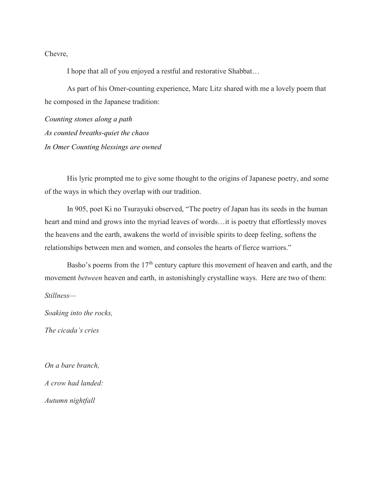Chevre,

I hope that all of you enjoyed a restful and restorative Shabbat…

 As part of his Omer-counting experience, Marc Litz shared with me a lovely poem that he composed in the Japanese tradition:

Counting stones along a path As counted breaths-quiet the chaos In Omer Counting blessings are owned

 His lyric prompted me to give some thought to the origins of Japanese poetry, and some of the ways in which they overlap with our tradition.

 In 905, poet Ki no Tsurayuki observed, "The poetry of Japan has its seeds in the human heart and mind and grows into the myriad leaves of words…it is poetry that effortlessly moves the heavens and the earth, awakens the world of invisible spirits to deep feeling, softens the relationships between men and women, and consoles the hearts of fierce warriors."

Basho's poems from the 17<sup>th</sup> century capture this movement of heaven and earth, and the movement between heaven and earth, in astonishingly crystalline ways. Here are two of them:

Stillness—

Soaking into the rocks,

The cicada's cries

On a bare branch, A crow had landed: Autumn nightfall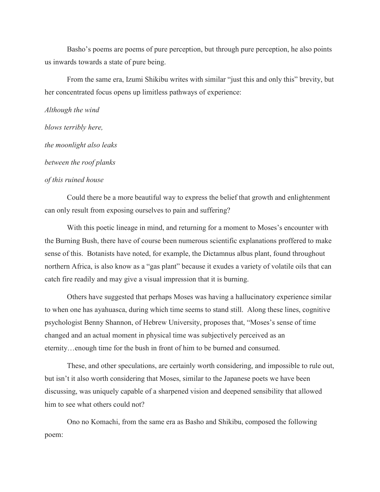Basho's poems are poems of pure perception, but through pure perception, he also points us inwards towards a state of pure being.

 From the same era, Izumi Shikibu writes with similar "just this and only this" brevity, but her concentrated focus opens up limitless pathways of experience:

Although the wind

blows terribly here,

the moonlight also leaks

between the roof planks

## of this ruined house

 Could there be a more beautiful way to express the belief that growth and enlightenment can only result from exposing ourselves to pain and suffering?

 With this poetic lineage in mind, and returning for a moment to Moses's encounter with the Burning Bush, there have of course been numerous scientific explanations proffered to make sense of this. Botanists have noted, for example, the Dictamnus albus plant, found throughout northern Africa, is also know as a "gas plant" because it exudes a variety of volatile oils that can catch fire readily and may give a visual impression that it is burning.

 Others have suggested that perhaps Moses was having a hallucinatory experience similar to when one has ayahuasca, during which time seems to stand still. Along these lines, cognitive psychologist Benny Shannon, of Hebrew University, proposes that, "Moses's sense of time changed and an actual moment in physical time was subjectively perceived as an eternity…enough time for the bush in front of him to be burned and consumed.

 These, and other speculations, are certainly worth considering, and impossible to rule out, but isn't it also worth considering that Moses, similar to the Japanese poets we have been discussing, was uniquely capable of a sharpened vision and deepened sensibility that allowed him to see what others could not?

 Ono no Komachi, from the same era as Basho and Shikibu, composed the following poem: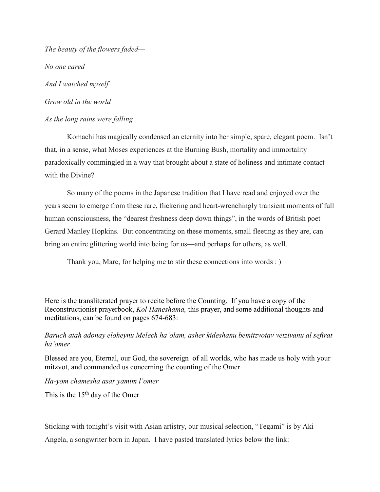The beauty of the flowers faded— No one cared— And I watched myself Grow old in the world

As the long rains were falling

 Komachi has magically condensed an eternity into her simple, spare, elegant poem. Isn't that, in a sense, what Moses experiences at the Burning Bush, mortality and immortality paradoxically commingled in a way that brought about a state of holiness and intimate contact with the Divine?

 So many of the poems in the Japanese tradition that I have read and enjoyed over the years seem to emerge from these rare, flickering and heart-wrenchingly transient moments of full human consciousness, the "dearest freshness deep down things", in the words of British poet Gerard Manley Hopkins. But concentrating on these moments, small fleeting as they are, can bring an entire glittering world into being for us—and perhaps for others, as well.

Thank you, Marc, for helping me to stir these connections into words : )

Here is the transliterated prayer to recite before the Counting. If you have a copy of the Reconstructionist prayerbook, Kol Haneshama, this prayer, and some additional thoughts and meditations, can be found on pages 674-683:

## Baruch atah adonay eloheynu Melech ha'olam, asher kideshanu bemitzvotav vetzivanu al sefirat ha'omer

Blessed are you, Eternal, our God, the sovereign of all worlds, who has made us holy with your mitzvot, and commanded us concerning the counting of the Omer

Ha-yom chamesha asar yamim l'omer

This is the  $15<sup>th</sup>$  day of the Omer

Sticking with tonight's visit with Asian artistry, our musical selection, "Tegami" is by Aki Angela, a songwriter born in Japan. I have pasted translated lyrics below the link: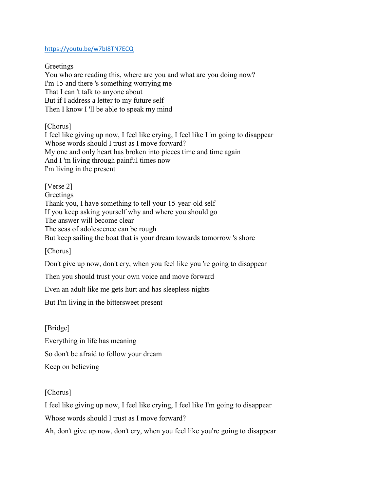## https://youtu.be/w7bI8TN7ECQ

**Greetings** You who are reading this, where are you and what are you doing now? I'm 15 and there 's something worrying me That I can 't talk to anyone about But if I address a letter to my future self Then I know I 'll be able to speak my mind

[Chorus]

I feel like giving up now, I feel like crying, I feel like I 'm going to disappear Whose words should I trust as I move forward? My one and only heart has broken into pieces time and time again And I 'm living through painful times now I'm living in the present

[Verse 2] **Greetings** Thank you, I have something to tell your 15-year-old self If you keep asking yourself why and where you should go The answer will become clear The seas of adolescence can be rough But keep sailing the boat that is your dream towards tomorrow 's shore

[Chorus]

Don't give up now, don't cry, when you feel like you 're going to disappear

Then you should trust your own voice and move forward

Even an adult like me gets hurt and has sleepless nights

But I'm living in the bittersweet present

[Bridge]

Everything in life has meaning So don't be afraid to follow your dream Keep on believing

[Chorus]

I feel like giving up now, I feel like crying, I feel like I'm going to disappear Whose words should I trust as I move forward? Ah, don't give up now, don't cry, when you feel like you're going to disappear